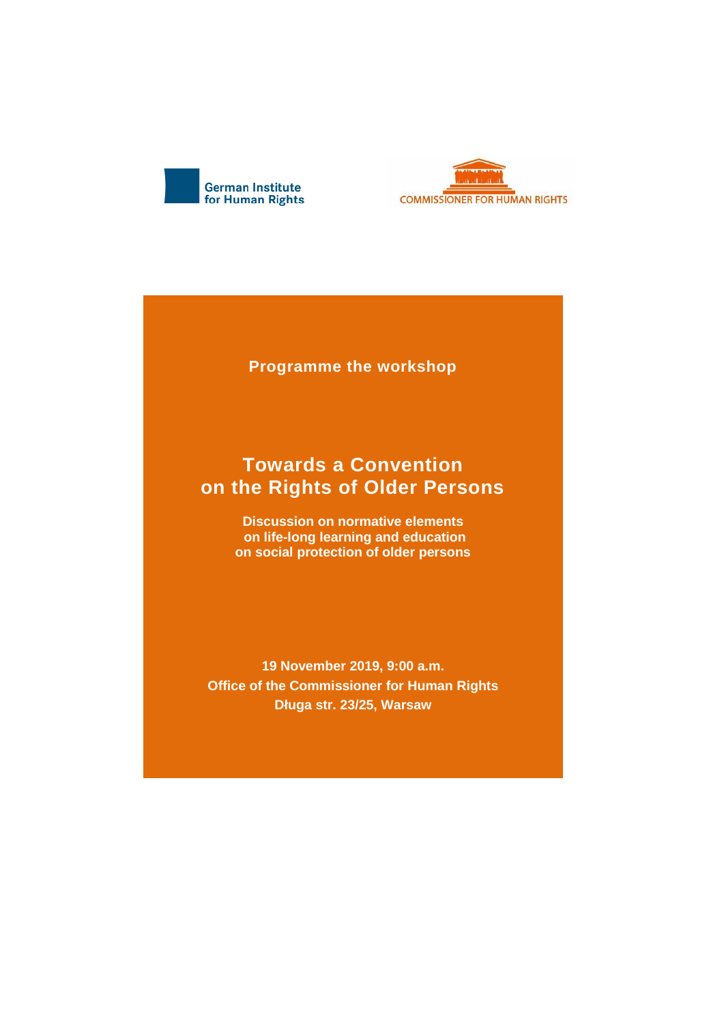



**Programme the workshop**

## **Towards a Convention on the Rights of Older Persons**

**Discussion on normative elements on life-long learning and education on social protection of older persons**

**19 November 2019, 9:00 a.m. Office of the Commissioner for Human Rights Długa str. 23/25, Warsaw**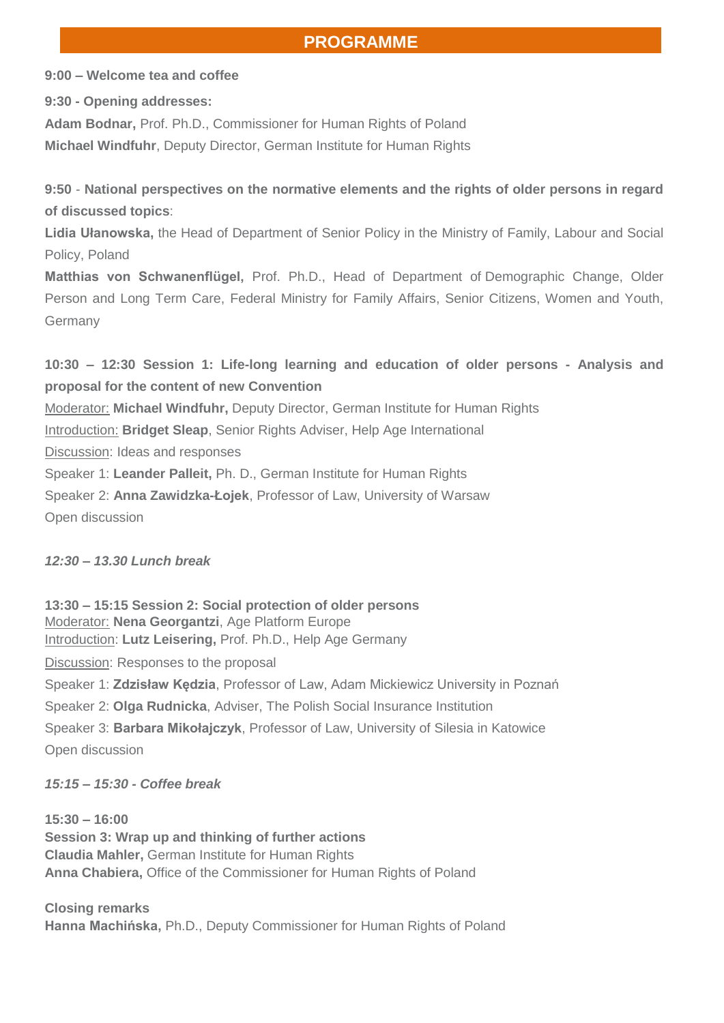## **PROGRAMME**

**9:00 – Welcome tea and coffee**

**9:30 - Opening addresses:**

**Adam Bodnar,** Prof. Ph.D., Commissioner for Human Rights of Poland

**Michael Windfuhr**, Deputy Director, German Institute for Human Rights

**9:50** - **National perspectives on the normative elements and the rights of older persons in regard of discussed topics**:

**Lidia Ułanowska,** the Head of Department of Senior Policy in the Ministry of Family, Labour and Social Policy, Poland

**Matthias von Schwanenflügel,** Prof. Ph.D., Head of Department of Demographic Change, Older Person and Long Term Care, Federal Ministry for Family Affairs, Senior Citizens, Women and Youth, Germany

**10:30 – 12:30 Session 1: Life-long learning and education of older persons - Analysis and proposal for the content of new Convention**  Moderator: **Michael Windfuhr,** Deputy Director, German Institute for Human Rights

Introduction: **Bridget Sleap**, Senior Rights Adviser, Help Age International

Discussion: Ideas and responses

Speaker 1: **Leander Palleit,** Ph. D., German Institute for Human Rights

Speaker 2: **Anna Zawidzka-Łojek**, Professor of Law, University of Warsaw Open discussion

*12:30 – 13.30 Lunch break*

**13:30 – 15:15 Session 2: Social protection of older persons** Moderator: **Nena Georgantzi**, Age Platform Europe Introduction: **Lutz Leisering,** Prof. Ph.D., Help Age Germany Discussion: Responses to the proposal Speaker 1: **Zdzisław Kędzia**, Professor of Law, Adam Mickiewicz University in Poznań Speaker 2: **Olga Rudnicka**, Adviser, The Polish Social Insurance Institution Speaker 3: **Barbara Mikołajczyk**, Professor of Law, University of Silesia in Katowice Open discussion

*15:15 – 15:30 - Coffee break*

**15:30 – 16:00 Session 3: Wrap up and thinking of further actions Claudia Mahler,** German Institute for Human Rights **Anna Chabiera,** Office of the Commissioner for Human Rights of Poland

**Closing remarks Hanna Machińska,** Ph.D., Deputy Commissioner for Human Rights of Poland